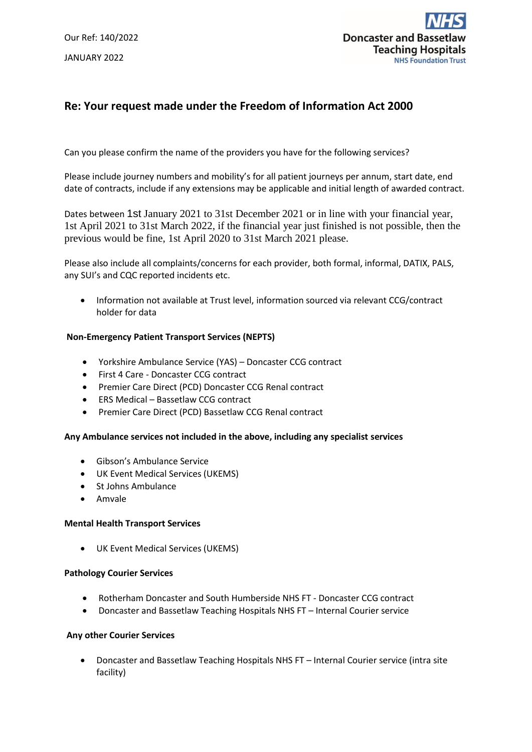Our Ref: 140/2022 JANUARY 2022



# **Re: Your request made under the Freedom of Information Act 2000**

Can you please confirm the name of the providers you have for the following services?

Please include journey numbers and mobility's for all patient journeys per annum, start date, end date of contracts, include if any extensions may be applicable and initial length of awarded contract.

Dates between 1st January 2021 to 31st December 2021 or in line with your financial year, 1st April 2021 to 31st March 2022, if the financial year just finished is not possible, then the previous would be fine, 1st April 2020 to 31st March 2021 please.

Please also include all complaints/concerns for each provider, both formal, informal, DATIX, PALS, any SUI's and CQC reported incidents etc.

 Information not available at Trust level, information sourced via relevant CCG/contract holder for data

### **Non-Emergency Patient Transport Services (NEPTS)**

- Yorkshire Ambulance Service (YAS) Doncaster CCG contract
- First 4 Care Doncaster CCG contract
- Premier Care Direct (PCD) Doncaster CCG Renal contract
- ERS Medical Bassetlaw CCG contract
- Premier Care Direct (PCD) Bassetlaw CCG Renal contract

### **Any Ambulance services not included in the above, including any specialist services**

- Gibson's Ambulance Service
- UK Event Medical Services (UKEMS)
- St Johns Ambulance
- Amvale

### **Mental Health Transport Services**

UK Event Medical Services (UKEMS)

### **Pathology Courier Services**

- Rotherham Doncaster and South Humberside NHS FT Doncaster CCG contract
- Doncaster and Bassetlaw Teaching Hospitals NHS FT Internal Courier service

### **Any other Courier Services**

 Doncaster and Bassetlaw Teaching Hospitals NHS FT – Internal Courier service (intra site facility)